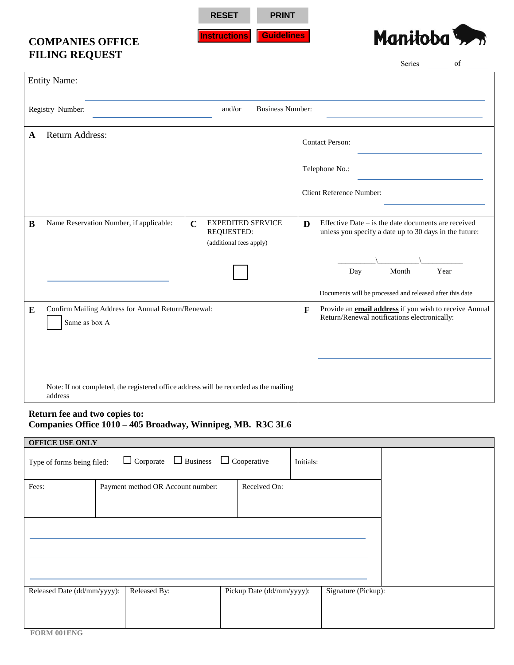**RESET PRINT**

**Instructions Guidelines**

## **COMPANIES OFFICE FILING REQUEST**



|           |                                                                                                  |                           |                                                     |   |                                                                                                                                                                           | Series | of   |
|-----------|--------------------------------------------------------------------------------------------------|---------------------------|-----------------------------------------------------|---|---------------------------------------------------------------------------------------------------------------------------------------------------------------------------|--------|------|
|           | <b>Entity Name:</b>                                                                              |                           |                                                     |   |                                                                                                                                                                           |        |      |
|           | Registry Number:                                                                                 | and/or                    | <b>Business Number:</b>                             |   |                                                                                                                                                                           |        |      |
| A         | Return Address:                                                                                  |                           |                                                     |   | <b>Contact Person:</b>                                                                                                                                                    |        |      |
|           |                                                                                                  |                           |                                                     |   | Telephone No.:                                                                                                                                                            |        |      |
|           |                                                                                                  |                           |                                                     |   | Client Reference Number:                                                                                                                                                  |        |      |
| B         | Name Reservation Number, if applicable:                                                          | $\mathbf C$<br>REQUESTED: | <b>EXPEDITED SERVICE</b><br>(additional fees apply) | D | Effective Date $-$ is the date documents are received<br>unless you specify a date up to 30 days in the future:                                                           |        |      |
|           |                                                                                                  |                           |                                                     |   | Day                                                                                                                                                                       | Month  | Year |
| ${\bf E}$ | Confirm Mailing Address for Annual Return/Renewal:<br>Same as box A                              |                           |                                                     | F | Documents will be processed and released after this date<br>Provide an <i>email address</i> if you wish to receive Annual<br>Return/Renewal notifications electronically: |        |      |
|           |                                                                                                  |                           |                                                     |   |                                                                                                                                                                           |        |      |
|           | Note: If not completed, the registered office address will be recorded as the mailing<br>address |                           |                                                     |   |                                                                                                                                                                           |        |      |

## **Return fee and two copies to: Companies Office 1010 – 405 Broadway, Winnipeg, MB. R3C 3L6**

| <b>OFFICE USE ONLY</b>                                                                         |                                   |                           |                     |  |  |
|------------------------------------------------------------------------------------------------|-----------------------------------|---------------------------|---------------------|--|--|
| $\Box$ Corporate $\Box$ Business $\Box$ Cooperative<br>Type of forms being filed:<br>Initials: |                                   |                           |                     |  |  |
| Fees:                                                                                          | Payment method OR Account number: | Received On:              |                     |  |  |
|                                                                                                |                                   |                           |                     |  |  |
|                                                                                                |                                   |                           |                     |  |  |
| Released Date (dd/mm/yyyy):                                                                    | Released By:                      | Pickup Date (dd/mm/yyyy): | Signature (Pickup): |  |  |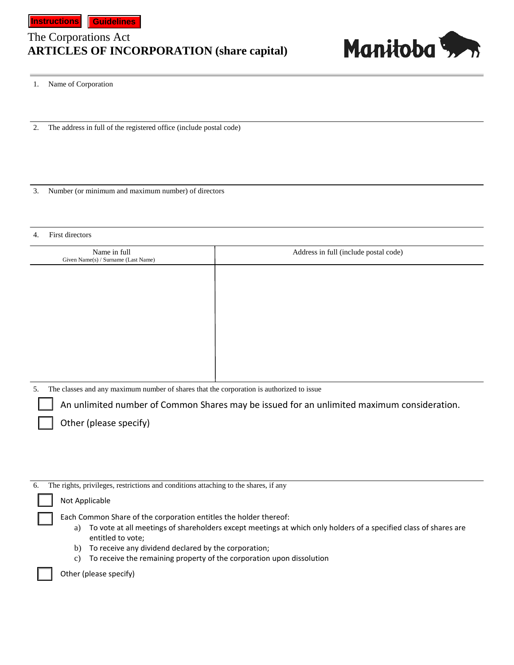## **ARTICLES OF INCORPORATION (share capital)** The Corporations Act



1. Name of Corporation

2. The address in full of the registered office (include postal code)

3. Number (or minimum and maximum number) of directors

## 4. First directors

| Name in full<br>Given Name(s) / Surname (Last Name) | Address in full (include postal code) |
|-----------------------------------------------------|---------------------------------------|
|                                                     |                                       |
|                                                     |                                       |
|                                                     |                                       |
|                                                     |                                       |
|                                                     |                                       |
|                                                     |                                       |

5. The classes and any maximum number of shares that the corporation is authorized to issue

An unlimited number of Common Shares may be issued for an unlimited maximum consideration.

Other (please specify)

| The rights, privileges, restrictions and conditions attaching to the shares, if any<br>6.                                                                                                                                                                                                                                                                     |
|---------------------------------------------------------------------------------------------------------------------------------------------------------------------------------------------------------------------------------------------------------------------------------------------------------------------------------------------------------------|
| Not Applicable                                                                                                                                                                                                                                                                                                                                                |
| Each Common Share of the corporation entitles the holder thereof:<br>To vote at all meetings of shareholders except meetings at which only holders of a specified class of shares are<br>a)<br>entitled to vote;<br>To receive any dividend declared by the corporation;<br>b)<br>To receive the remaining property of the corporation upon dissolution<br>C) |
| Other (please specify)                                                                                                                                                                                                                                                                                                                                        |